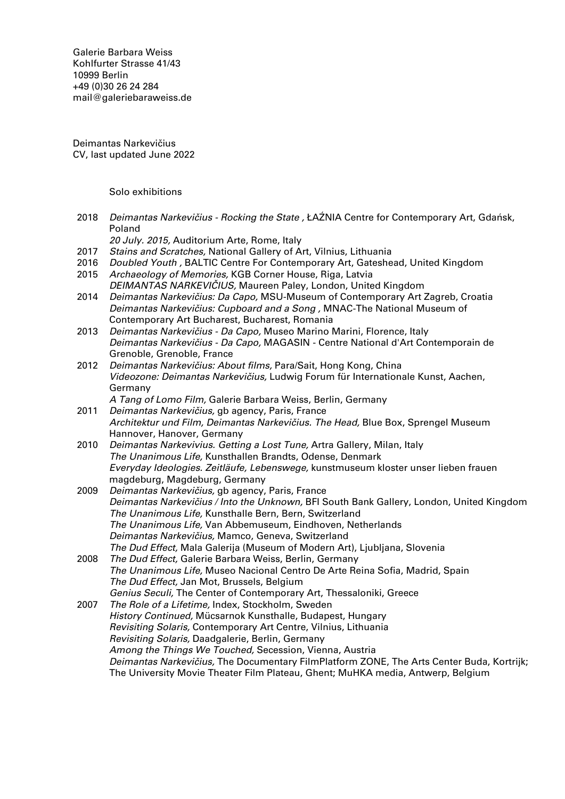Galerie Barbara Weiss [Kohlfurter Strasse 41/43](https://goo.gl/maps/ZQcePopa6uu3a3k19) [10999 Berlin](https://goo.gl/maps/ZQcePopa6uu3a3k19) +49 (0)30 26 24 284 [mail@galeriebaraweiss.de](mailto:mail@galeriebarbaraweiss.de)

Deimantas Narkevičius CV, last updated June 2022

Solo exhibitions

2018 Deimantas Narkevičius - Rocking the State, ŁAŹNIA Centre for Contemporary Art, Gdańsk, Poland

20 July. 2015, Auditorium Arte, Rome, Italy

- 2017 Stains and Scratches, National Gallery of Art, Vilnius, Lithuania
- 2016 Doubled Youth, BALTIC Centre For Contemporary Art, Gateshead, United Kingdom 2015 Archaeology of Memories, KGB Corner House, Riga, Latvia
- DEIMANTAS NARKEVIČIUS, Maureen Paley, London, United Kingdom
- 2014 Deimantas Narkevičius: Da Capo, MSU-Museum of Contemporary Art Zagreb, Croatia Deimantas Narkevičius: Cupboard and a Song , MNAC-The National Museum of Contemporary Art Bucharest, Bucharest, Romania
- 2013 Deimantas Narkevičius Da Capo, Museo Marino Marini, Florence, Italy Deimantas Narkevičius - Da Capo, MAGASIN - Centre National d'Art Contemporain de Grenoble, Grenoble, France
- 2012 Deimantas Narkevičius: About films, Para/Sait, Hong Kong, China Videozone: Deimantas Narkevičius, Ludwig Forum für Internationale Kunst, Aachen, Germany
	- A Tang of Lomo Film, Galerie Barbara Weiss, Berlin, Germany
- 2011 Deimantas Narkevičius, gb agency, Paris, France Architektur und Film, Deimantas Narkevičius. The Head, Blue Box, Sprengel Museum Hannover, Hanover, Germany
- 2010 Deimantas Narkevivius. Getting a Lost Tune, Artra Gallery, Milan, Italy The Unanimous Life, Kunsthallen Brandts, Odense, Denmark Everyday Ideologies. Zeitläufe, Lebenswege, kunstmuseum kloster unser lieben frauen magdeburg, Magdeburg, Germany
- 2009 Deimantas Narkevičius, gb agency, Paris, France Deimantas Narkevičius / Into the Unknown, BFI South Bank Gallery, London, United Kingdom The Unanimous Life, Kunsthalle Bern, Bern, Switzerland The Unanimous Life, Van Abbemuseum, Eindhoven, Netherlands Deimantas Narkevičius, Mamco, Geneva, Switzerland The Dud Effect, Mala Galerija (Museum of Modern Art), Ljubljana, Slovenia
- 2008 The Dud Effect, Galerie Barbara Weiss, Berlin, Germany The Unanimous Life, Museo Nacional Centro De Arte Reina Sofia, Madrid, Spain The Dud Effect, Jan Mot, Brussels, Belgium Genius Seculi, The Center of Contemporary Art, Thessaloniki, Greece
- 2007 The Role of a Lifetime, Index, Stockholm, Sweden History Continued, Mücsarnok Kunsthalle, Budapest, Hungary Revisiting Solaris, Contemporary Art Centre, Vilnius, Lithuania Revisiting Solaris, Daadgalerie, Berlin, Germany Among the Things We Touched, Secession, Vienna, Austria Deimantas Narkevičius, The Documentary FilmPlatform ZONE, The Arts Center Buda, Kortrijk; The University Movie Theater Film Plateau, Ghent; MuHKA media, Antwerp, Belgium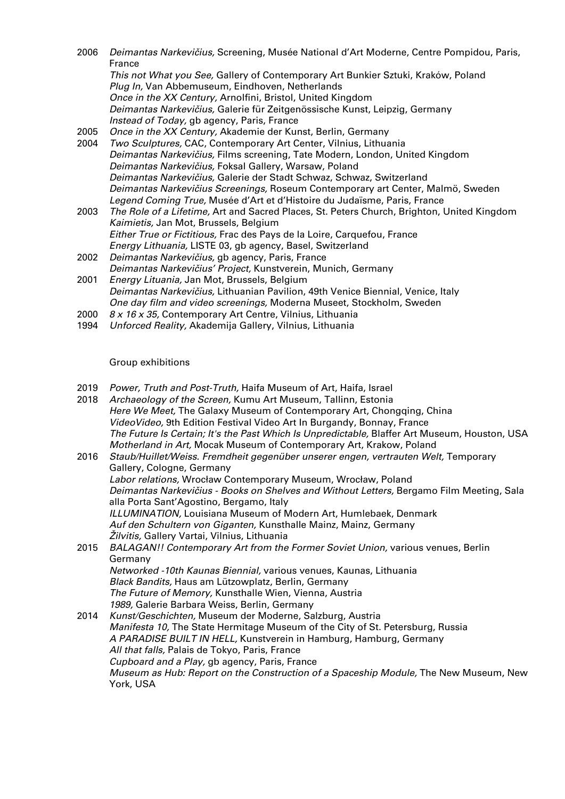- 2006 Deimantas Narkevičius, Screening, Musée National d'Art Moderne, Centre Pompidou, Paris, France This not What you See, Gallery of Contemporary Art Bunkier Sztuki, Kraków, Poland Plug In, Van Abbemuseum, Eindhoven, Netherlands Once in the XX Century, Arnolfini, Bristol, United Kingdom Deimantas Narkevičius, Galerie für Zeitgenössische Kunst, Leipzig, Germany Instead of Today, gb agency, Paris, France 2005 Once in the XX Century, Akademie der Kunst, Berlin, Germany 2004 Two Sculptures, CAC, Contemporary Art Center, Vilnius, Lithuania Deimantas Narkevičius, Films screening, Tate Modern, London, United Kingdom Deimantas Narkevičius, Foksal Gallery, Warsaw, Poland Deimantas Narkevičius, Galerie der Stadt Schwaz, Schwaz, Switzerland Deimantas Narkevičius Screenings, Roseum Contemporary art Center, Malmö, Sweden
- Legend Coming True, Musée d'Art et d'Histoire du Judaïsme, Paris, France 2003 The Role of a Lifetime, Art and Sacred Places, St. Peters Church, Brighton, United Kingdom Kaimietis, Jan Mot, Brussels, Belgium Either True or Fictitious, Frac des Pays de la Loire, Carquefou, France Energy Lithuania, LISTE 03, gb agency, Basel, Switzerland
- 2002 Deimantas Narkevičius, gb agency, Paris, France Deimantas Narkevičius' Project, Kunstverein, Munich, Germany
- 2001 Energy Lituania, Jan Mot, Brussels, Belgium Deimantas Narkevičius, Lithuanian Pavilion, 49th Venice Biennial, Venice, Italy One day film and video screenings, Moderna Museet, Stockholm, Sweden
- 2000 8 x 16 x 35, Contemporary Art Centre, Vilnius, Lithuania
- 1994 Unforced Reality, Akademija Gallery, Vilnius, Lithuania

## Group exhibitions

- 2019 Power, Truth and Post-Truth, Haifa Museum of Art, Haifa, Israel<br>2018 Archaeology of the Screen, Kumu Art Museum, Tallinn, Estonia
- Archaeology of the Screen, Kumu Art Museum, Tallinn, Estonia Here We Meet, The Galaxy Museum of Contemporary Art, Chongqing, China VideoVideo, 9th Edition Festival Video Art In Burgandy, Bonnay, France The Future Is Certain; It's the Past Which Is Unpredictable, Blaffer Art Museum, Houston, USA Motherland in Art, Mocak Museum of Contemporary Art, Krakow, Poland
- 2016 Staub/Huillet/Weiss. Fremdheit gegenüber unserer engen, vertrauten Welt, Temporary Gallery, Cologne, Germany Labor relations, Wrocław Contemporary Museum, Wrocław, Poland Deimantas Narkevičius - Books on Shelves and Without Letters, Bergamo Film Meeting, Sala alla Porta Sant'Agostino, Bergamo, Italy ILLUMINATION, Louisiana Museum of Modern Art, Humlebaek, Denmark Auf den Schultern von Giganten, Kunsthalle Mainz, Mainz, Germany Žilvitis, Gallery Vartai, Vilnius, Lithuania 2015 BALAGAN!! Contemporary Art from the Former Soviet Union, various venues, Berlin
- Germany Networked -10th Kaunas Biennial, various venues, Kaunas, Lithuania Black Bandits, Haus am Lützowplatz, Berlin, Germany The Future of Memory, Kunsthalle Wien, Vienna, Austria 1989, Galerie Barbara Weiss, Berlin, Germany
- 2014 Kunst/Geschichten, Museum der Moderne, Salzburg, Austria Manifesta 10, The State Hermitage Museum of the City of St. Petersburg, Russia A PARADISE BUILT IN HELL, Kunstverein in Hamburg, Hamburg, Germany All that falls, Palais de Tokyo, Paris, France Cupboard and a Play, gb agency, Paris, France Museum as Hub: Report on the Construction of a Spaceship Module, The New Museum, New York, USA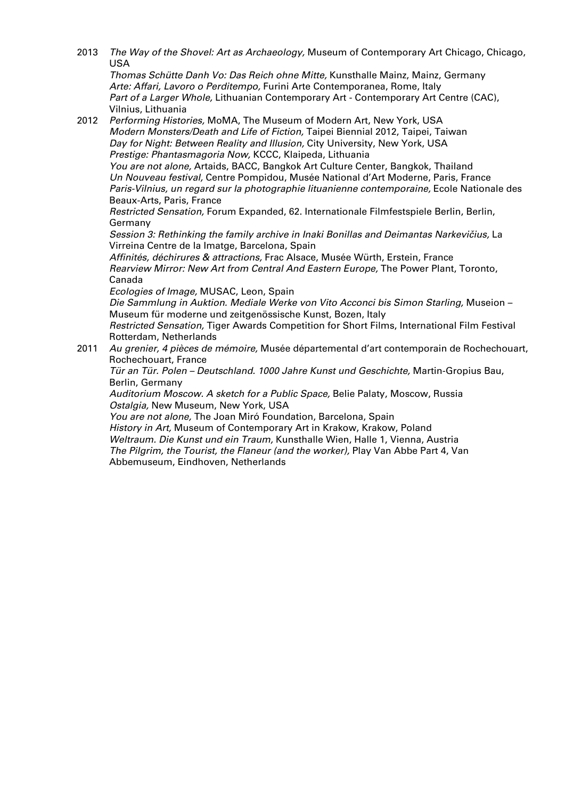2013 The Way of the Shovel: Art as Archaeology, Museum of Contemporary Art Chicago, Chicago, USA

Thomas Schütte Danh Vo: Das Reich ohne Mitte, Kunsthalle Mainz, Mainz, Germany Arte: Affari, Lavoro o Perditempo, Furini Arte Contemporanea, Rome, Italy Part of a Larger Whole, Lithuanian Contemporary Art - Contemporary Art Centre (CAC), Vilnius, Lithuania

- 2012 Performing Histories, MoMA, The Museum of Modern Art, New York, USA Modern Monsters/Death and Life of Fiction, Taipei Biennial 2012, Taipei, Taiwan Day for Night: Between Reality and Illusion, City University, New York, USA Prestige: Phantasmagoria Now, KCCC, Klaipeda, Lithuania You are not alone, Artaids, BACC, Bangkok Art Culture Center, Bangkok, Thailand Un Nouveau festival, Centre Pompidou, Musée National d'Art Moderne, Paris, France Paris-Vilnius, un regard sur la photographie lituanienne contemporaine, Ecole Nationale des Beaux-Arts, Paris, France Restricted Sensation, Forum Expanded, 62. Internationale Filmfestspiele Berlin, Berlin, Germany Session 3: Rethinking the family archive in Inaki Bonillas and Deimantas Narkevičius, La Virreina Centre de la Imatge, Barcelona, Spain Affinités, déchirures & attractions, Frac Alsace, Musée Würth, Erstein, France Rearview Mirror: New Art from Central And Eastern Europe, The Power Plant, Toronto, Canada Ecologies of Image, MUSAC, Leon, Spain Die Sammlung in Auktion. Mediale Werke von Vito Acconci bis Simon Starling, Museion – Museum für moderne und zeitgenössische Kunst, Bozen, Italy Restricted Sensation, Tiger Awards Competition for Short Films, International Film Festival Rotterdam, Netherlands
- 2011 Au grenier, 4 pièces de mémoire, Musée départemental d'art contemporain de Rochechouart, Rochechouart, France

Tür an Tür. Polen – Deutschland. 1000 Jahre Kunst und Geschichte, Martin-Gropius Bau, Berlin, Germany

Auditorium Moscow. A sketch for a Public Space, Belie Palaty, Moscow, Russia Ostalgia, New Museum, New York, USA

You are not alone, The Joan Miró Foundation, Barcelona, Spain History in Art, Museum of Contemporary Art in Krakow, Krakow, Poland Weltraum. Die Kunst und ein Traum, Kunsthalle Wien, Halle 1, Vienna, Austria The Pilgrim, the Tourist, the Flaneur (and the worker), Play Van Abbe Part 4, Van Abbemuseum, Eindhoven, Netherlands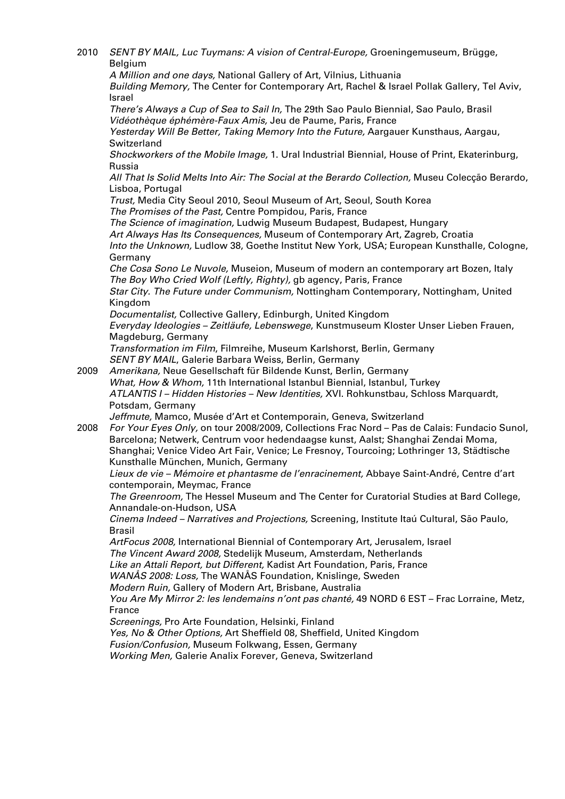2010 SENT BY MAIL, Luc Tuymans: A vision of Central-Europe, Groeningemuseum, Brügge, Belgium

A Million and one days, National Gallery of Art, Vilnius, Lithuania Building Memory, The Center for Contemporary Art, Rachel & Israel Pollak Gallery, Tel Aviv, Israel

There's Always a Cup of Sea to Sail In, The 29th Sao Paulo Biennial, Sao Paulo, Brasil Vidéothèque éphémère-Faux Amis, Jeu de Paume, Paris, France

Yesterday Will Be Better, Taking Memory Into the Future, Aargauer Kunsthaus, Aargau, Switzerland

Shockworkers of the Mobile Image, 1. Ural Industrial Biennial, House of Print, Ekaterinburg, Russia

All That Is Solid Melts Into Air: The Social at the Berardo Collection, Museu Colecção Berardo, Lisboa, Portugal

Trust, Media City Seoul 2010, Seoul Museum of Art, Seoul, South Korea

The Promises of the Past, Centre Pompidou, Paris, France

The Science of imagination, Ludwig Museum Budapest, Budapest, Hungary

Art Always Has Its Consequences, Museum of Contemporary Art, Zagreb, Croatia

Into the Unknown, Ludlow 38, Goethe Institut New York, USA; European Kunsthalle, Cologne, Germany

Che Cosa Sono Le Nuvole, Museion, Museum of modern an contemporary art Bozen, Italy The Boy Who Cried Wolf (Leftly, Righty), gb agency, Paris, France

Star City. The Future under Communism, Nottingham Contemporary, Nottingham, United Kingdom

Documentalist, Collective Gallery, Edinburgh, United Kingdom

Everyday Ideologies – Zeitläufe, Lebenswege, Kunstmuseum Kloster Unser Lieben Frauen, Magdeburg, Germany

Transformation im Film, Filmreihe, Museum Karlshorst, Berlin, Germany SENT BY MAIL, Galerie Barbara Weiss, Berlin, Germany

2009 Amerikana, Neue Gesellschaft für Bildende Kunst, Berlin, Germany What, How & Whom, 11th International Istanbul Biennial, Istanbul, Turkey ATLANTIS I – Hidden Histories – New Identities, XVI. Rohkunstbau, Schloss Marquardt, Potsdam, Germany

Jeffmute, Mamco, Musée d'Art et Contemporain, Geneva, Switzerland

2008 For Your Eyes Only, on tour 2008/2009, Collections Frac Nord – Pas de Calais: Fundacio Sunol, Barcelona; Netwerk, Centrum voor hedendaagse kunst, Aalst; Shanghai Zendai Moma, Shanghai; Venice Video Art Fair, Venice; Le Fresnoy, Tourcoing; Lothringer 13, Städtische Kunsthalle München, Munich, Germany

Lieux de vie – Mémoire et phantasme de l'enracinement, Abbaye Saint-André, Centre d'art contemporain, Meymac, France

The Greenroom, The Hessel Museum and The Center for Curatorial Studies at Bard College, Annandale-on-Hudson, USA

Cinema Indeed – Narratives and Projections, Screening, Institute Itaú Cultural, São Paulo, Brasil

ArtFocus 2008, International Biennial of Contemporary Art, Jerusalem, Israel The Vincent Award 2008, Stedelijk Museum, Amsterdam, Netherlands Like an Attali Report, but Different, Kadist Art Foundation, Paris, France

WANÅS 2008: Loss, The WANÅS Foundation, Knislinge, Sweden

Modern Ruin, Gallery of Modern Art, Brisbane, Australia

You Are My Mirror 2: les lendemains n'ont pas chanté, 49 NORD 6 EST – Frac Lorraine, Metz,

France

Screenings, Pro Arte Foundation, Helsinki, Finland

Yes, No & Other Options, Art Sheffield 08, Sheffield, United Kingdom

Fusion/Confusion, Museum Folkwang, Essen, Germany

Working Men, Galerie Analix Forever, Geneva, Switzerland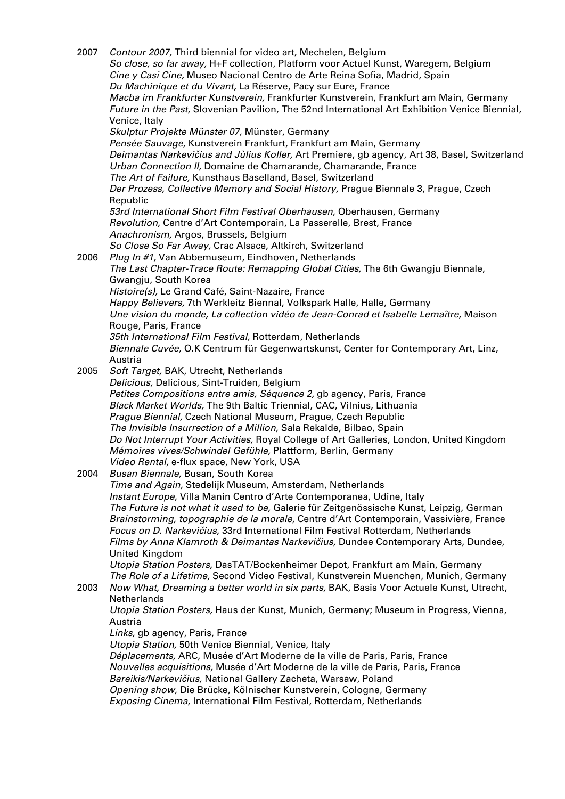| 2007 | Contour 2007, Third biennial for video art, Mechelen, Belgium<br>So close, so far away, H+F collection, Platform voor Actuel Kunst, Waregem, Belgium<br>Cine y Casi Cine, Museo Nacional Centro de Arte Reina Sofia, Madrid, Spain                       |
|------|----------------------------------------------------------------------------------------------------------------------------------------------------------------------------------------------------------------------------------------------------------|
|      | Du Machinique et du Vivant, La Réserve, Pacy sur Eure, France<br>Macba im Frankfurter Kunstverein, Frankfurter Kunstverein, Frankfurt am Main, Germany<br>Future in the Past, Slovenian Pavilion, The 52nd International Art Exhibition Venice Biennial, |
|      | Venice, Italy<br>Skulptur Projekte Münster 07, Münster, Germany                                                                                                                                                                                          |
|      | Pensée Sauvage, Kunstverein Frankfurt, Frankfurt am Main, Germany                                                                                                                                                                                        |
|      | Deimantas Narkevičius and Jùlius Koller, Art Premiere, gb agency, Art 38, Basel, Switzerland                                                                                                                                                             |
|      | Urban Connection II, Domaine de Chamarande, Chamarande, France                                                                                                                                                                                           |
|      | The Art of Failure, Kunsthaus Baselland, Basel, Switzerland                                                                                                                                                                                              |
|      | Der Prozess, Collective Memory and Social History, Prague Biennale 3, Prague, Czech                                                                                                                                                                      |
|      | Republic                                                                                                                                                                                                                                                 |
|      | 53rd International Short Film Festival Oberhausen, Oberhausen, Germany<br>Revolution, Centre d'Art Contemporain, La Passerelle, Brest, France                                                                                                            |
|      | Anachronism, Argos, Brussels, Belgium                                                                                                                                                                                                                    |
|      | So Close So Far Away, Crac Alsace, Altkirch, Switzerland                                                                                                                                                                                                 |
| 2006 | Plug In #1, Van Abbemuseum, Eindhoven, Netherlands                                                                                                                                                                                                       |
|      | The Last Chapter-Trace Route: Remapping Global Cities, The 6th Gwangju Biennale,                                                                                                                                                                         |
|      | Gwangju, South Korea<br>Histoire(s), Le Grand Café, Saint-Nazaire, France                                                                                                                                                                                |
|      | Happy Believers, 7th Werkleitz Biennal, Volkspark Halle, Halle, Germany                                                                                                                                                                                  |
|      | Une vision du monde, La collection vidéo de Jean-Conrad et Isabelle Lemaître, Maison                                                                                                                                                                     |
|      | Rouge, Paris, France                                                                                                                                                                                                                                     |
|      | 35th International Film Festival, Rotterdam, Netherlands                                                                                                                                                                                                 |
|      | Biennale Cuvée, O.K Centrum für Gegenwartskunst, Center for Contemporary Art, Linz,                                                                                                                                                                      |
| 2005 | Austria<br>Soft Target, BAK, Utrecht, Netherlands                                                                                                                                                                                                        |
|      | Delicious, Delicious, Sint-Truiden, Belgium                                                                                                                                                                                                              |
|      | Petites Compositions entre amis, Séquence 2, gb agency, Paris, France                                                                                                                                                                                    |
|      | Black Market Worlds, The 9th Baltic Triennial, CAC, Vilnius, Lithuania                                                                                                                                                                                   |
|      | Prague Biennial, Czech National Museum, Prague, Czech Republic                                                                                                                                                                                           |
|      | The Invisible Insurrection of a Million, Sala Rekalde, Bilbao, Spain<br>Do Not Interrupt Your Activities, Royal College of Art Galleries, London, United Kingdom                                                                                         |
|      | Mémoires vives/Schwindel Gefühle, Plattform, Berlin, Germany                                                                                                                                                                                             |
|      | Video Rental, e-flux space, New York, USA                                                                                                                                                                                                                |
| 2004 | Busan Biennale, Busan, South Korea                                                                                                                                                                                                                       |
|      | Time and Again, Stedelijk Museum, Amsterdam, Netherlands                                                                                                                                                                                                 |
|      | Instant Europe, Villa Manin Centro d'Arte Contemporanea, Udine, Italy<br>The Future is not what it used to be, Galerie für Zeitgenössische Kunst, Leipzig, German                                                                                        |
|      | Brainstorming, topographie de la morale, Centre d'Art Contemporain, Vassivière, France                                                                                                                                                                   |
|      | Focus on D. Narkevičius, 33rd International Film Festival Rotterdam, Netherlands                                                                                                                                                                         |
|      | Films by Anna Klamroth & Deimantas Narkevičius, Dundee Contemporary Arts, Dundee,                                                                                                                                                                        |
|      | United Kingdom                                                                                                                                                                                                                                           |
|      | Utopia Station Posters, DasTAT/Bockenheimer Depot, Frankfurt am Main, Germany                                                                                                                                                                            |
| 2003 | The Role of a Lifetime, Second Video Festival, Kunstverein Muenchen, Munich, Germany<br>Now What, Dreaming a better world in six parts, BAK, Basis Voor Actuele Kunst, Utrecht,                                                                          |
|      | Netherlands                                                                                                                                                                                                                                              |
|      | Utopia Station Posters, Haus der Kunst, Munich, Germany; Museum in Progress, Vienna,                                                                                                                                                                     |
|      | Austria                                                                                                                                                                                                                                                  |
|      | Links, gb agency, Paris, France                                                                                                                                                                                                                          |
|      | Utopia Station, 50th Venice Biennial, Venice, Italy<br>Déplacements, ARC, Musée d'Art Moderne de la ville de Paris, Paris, France                                                                                                                        |
|      | Nouvelles acquisitions, Musée d'Art Moderne de la ville de Paris, Paris, France                                                                                                                                                                          |
|      | Bareikis/Narkevičius, National Gallery Zacheta, Warsaw, Poland                                                                                                                                                                                           |
|      | Opening show, Die Brücke, Kölnischer Kunstverein, Cologne, Germany                                                                                                                                                                                       |
|      | Exposing Cinema, International Film Festival, Rotterdam, Netherlands                                                                                                                                                                                     |